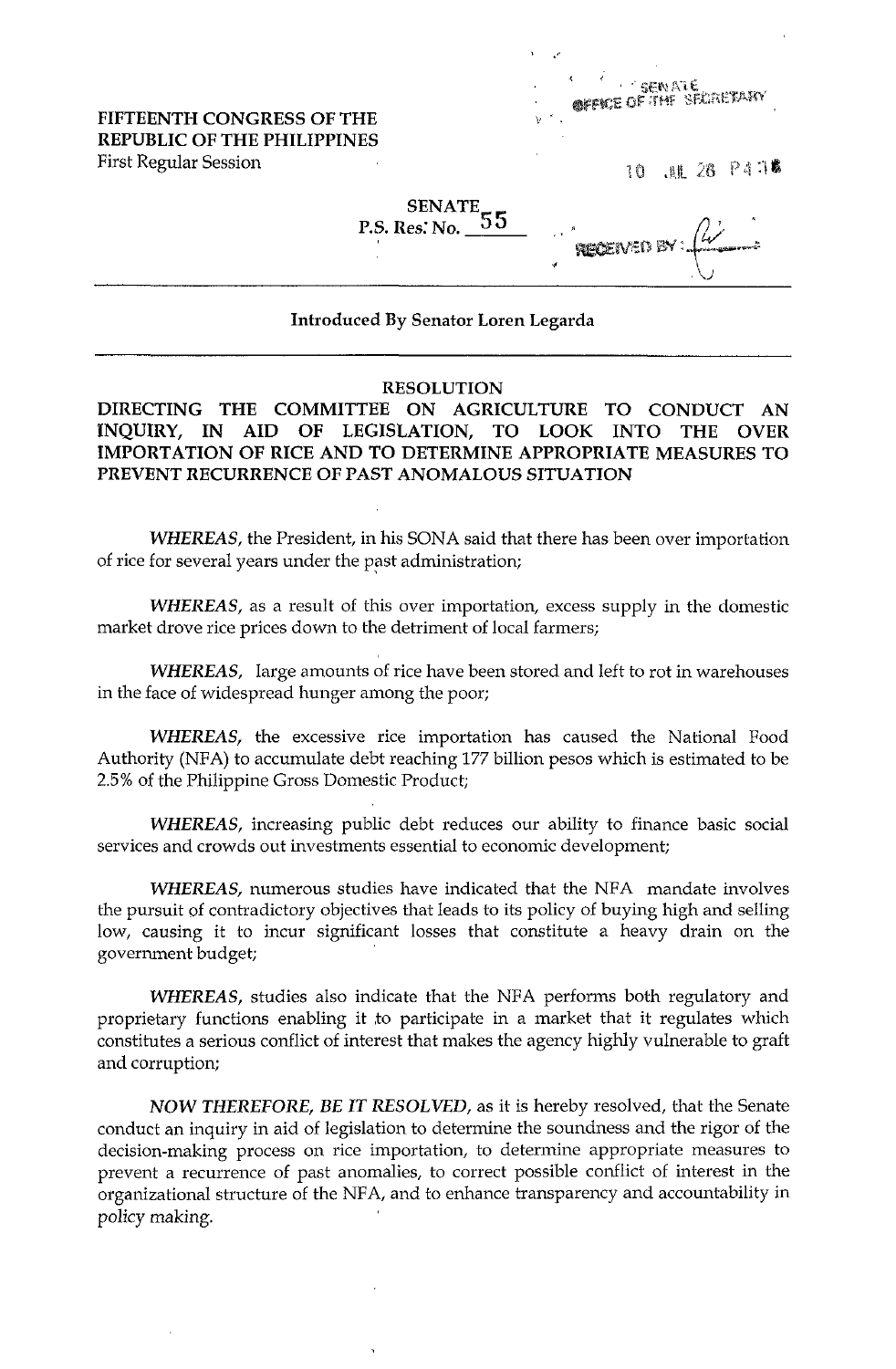FIFTEENTH CONGRESS OF THE REPUBLIC OF THE PHILIPPINES First Regular Session

| ٠<br>Ŋ. |  |  |  | SENATE<br>GEFUE OF THE SECRETARY |  |  |  |  |
|---------|--|--|--|----------------------------------|--|--|--|--|
|         |  |  |  |                                  |  |  |  |  |

10 .AL 28 P4 78

## SENATE<br>P.S. Res: No. 55

|    | RECEIVED BY: |  |
|----|--------------|--|
| ۰. |              |  |

## Introduced By Senator Loren Legarda

## RESOLUTION

DIRECTING THE COMMITTEE ON AGRICULTURE TO CONDUCT AN INQUIRY, IN AID OF LEGISLATION, TO LOOK INTO THE OVER IMPORTATION OF RICE AND TO DETERMINE APPROPRIATE MEASURES TO PREVENT RECURRENCE OF PAST ANOMALOUS SITUATION

WHEREAS, the President, in his SONA said that there has been over importation of rice for several years under the past administration;

WHEREAS, as a result of this over importation, excess supply in the domestic market drove rice prices down to the detriment of local farmers;

WHEREAS, large amounts of rice have been stored and left to rot in warehouses in the face of widespread hunger among the poor;

WHEREAS, the excessive rice importation has caused the National Food Authority (NFA) to accumulate debt reaching 177 billion pesos which is estimated to be 2.5% of the Philippine Gross Domestic Product;

WHEREAS, increasing public debt reduces our ability to finance basic social services and crowds out investments essential to economic development;

WHEREAS, numerous studies have indicated that the NFA mandate involves the pursuit of contradictory objectives that leads to its policy of buying high and selling low, causing it to incur significant losses that constitute a heavy drain on the government budget;

WHEREAS, studies also indicate that the NFA performs both regulatory and proprietary functions enabling it to participate in a market that it regulates which constitutes a serious conflict of interest that makes the agency highly vulnerable to graft and corruption;

NOW THEREFORE, BE IT RESOLVED, as it is hereby resolved, that the Senate conduct an inquiry in aid of legislation to determine the soundness and the rigor of the decision-making process on rice importation, to determine appropriate measures to prevent a recurrence of past anomalies, to correct possible conflict of interest in the organizational structure of the NFA, and to enhance transparency and accountability in policy making.